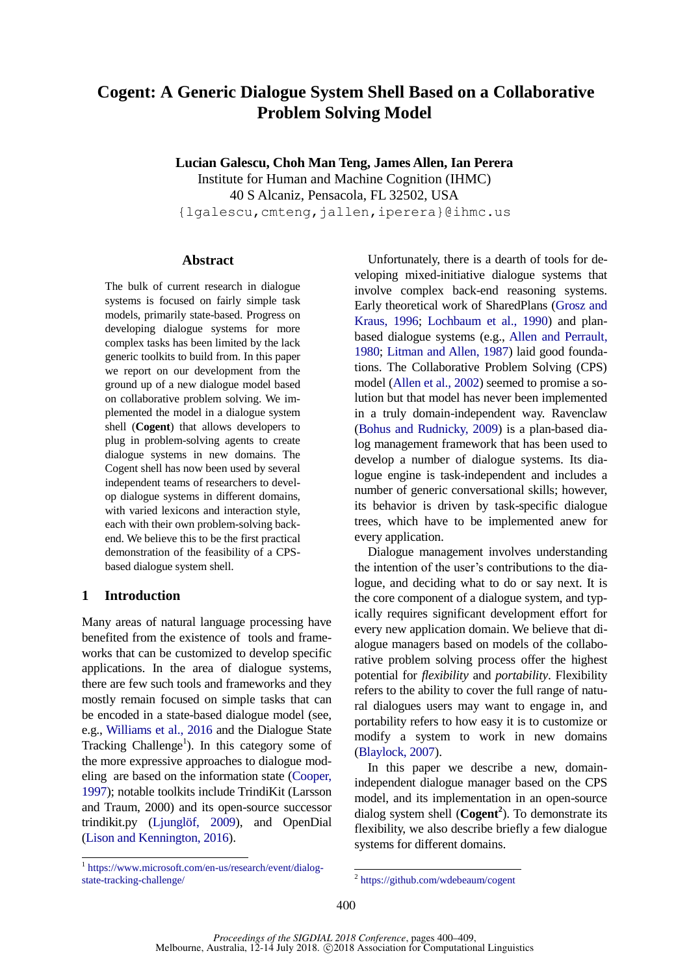# **Cogent: A Generic Dialogue System Shell Based on a Collaborative Problem Solving Model**

**Lucian Galescu, Choh Man Teng, James Allen, Ian Perera**

Institute for Human and Machine Cognition (IHMC) 40 S Alcaniz, Pensacola, FL 32502, USA {lgalescu,cmteng,jallen,iperera}@ihmc.us

## **Abstract**

The bulk of current research in dialogue systems is focused on fairly simple task models, primarily state-based. Progress on developing dialogue systems for more complex tasks has been limited by the lack generic toolkits to build from. In this paper we report on our development from the ground up of a new dialogue model based on collaborative problem solving. We implemented the model in a dialogue system shell (**Cogent**) that allows developers to plug in problem-solving agents to create dialogue systems in new domains. The Cogent shell has now been used by several independent teams of researchers to develop dialogue systems in different domains, with varied lexicons and interaction style, each with their own problem-solving backend. We believe this to be the first practical demonstration of the feasibility of a CPSbased dialogue system shell.

# **1 Introduction**

Many areas of natural language processing have benefited from the existence of tools and frameworks that can be customized to develop specific applications. In the area of dialogue systems, there are few such tools and frameworks and they mostly remain focused on simple tasks that can be encoded in a state-based dialogue model (see, e.g., [Williams et al., 2016](#page-9-0) and the Dialogue State Tracking Challenge<sup>1</sup>). In this category some of the more expressive approaches to dialogue modeling are based on the information state [\(Cooper,](#page-9-1)  [1997\)](#page-9-1); notable toolkits include TrindiKit (Larsson and Traum, 2000) and its open-source successor trindikit.py [\(Ljunglöf, 2009\)](#page-9-2), and OpenDial [\(Lison and Kennington, 2016\)](#page-9-3).

 1 [https://www.microsoft.com/en-us/research/event/dialog](https://www.microsoft.com/en-us/research/event/dialog-state-tracking-challenge/)[state-tracking-challenge/](https://www.microsoft.com/en-us/research/event/dialog-state-tracking-challenge/)

Unfortunately, there is a dearth of tools for developing mixed-initiative dialogue systems that involve complex back-end reasoning systems. Early theoretical work of SharedPlans [\(Grosz and](#page-9-4)  [Kraus, 1996;](#page-9-4) [Lochbaum et al., 1990\)](#page-9-5) and planbased dialogue systems (e.g., [Allen and Perrault,](#page-8-0)  [1980;](#page-8-0) [Litman and Allen, 1987\)](#page-9-6) laid good foundations. The Collaborative Problem Solving (CPS) model [\(Allen et al., 2002\)](#page-8-1) seemed to promise a solution but that model has never been implemented in a truly domain-independent way. Ravenclaw [\(Bohus and Rudnicky, 2009\)](#page-9-7) is a plan-based dialog management framework that has been used to develop a number of dialogue systems. Its dialogue engine is task-independent and includes a number of generic conversational skills; however, its behavior is driven by task-specific dialogue trees, which have to be implemented anew for every application.

Dialogue management involves understanding the intention of the user's contributions to the dialogue, and deciding what to do or say next. It is the core component of a dialogue system, and typically requires significant development effort for every new application domain. We believe that dialogue managers based on models of the collaborative problem solving process offer the highest potential for *flexibility* and *portability*. Flexibility refers to the ability to cover the full range of natural dialogues users may want to engage in, and portability refers to how easy it is to customize or modify a system to work in new domains [\(Blaylock, 2007\)](#page-8-2).

In this paper we describe a new, domainindependent dialogue manager based on the CPS model, and its implementation in an open-source dialog system shell (**Cogent<sup>2</sup>** ). To demonstrate its flexibility, we also describe briefly a few dialogue systems for different domains.

 2 <https://github.com/wdebeaum/cogent>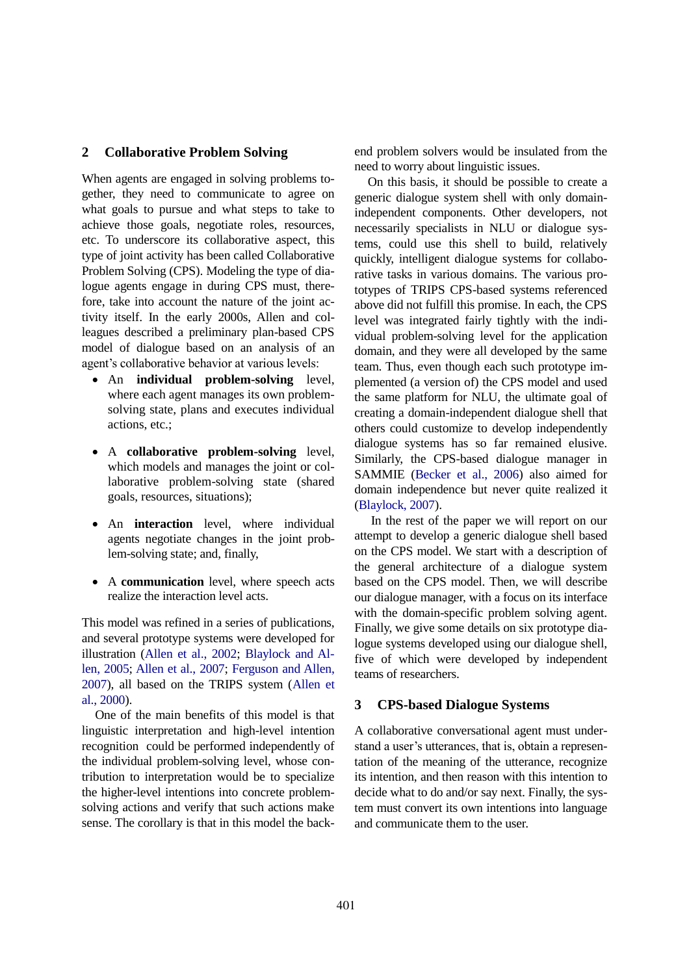# **2 Collaborative Problem Solving**

When agents are engaged in solving problems together, they need to communicate to agree on what goals to pursue and what steps to take to achieve those goals, negotiate roles, resources, etc. To underscore its collaborative aspect, this type of joint activity has been called Collaborative Problem Solving (CPS). Modeling the type of dialogue agents engage in during CPS must, therefore, take into account the nature of the joint activity itself. In the early 2000s, Allen and colleagues described a preliminary plan-based CPS model of dialogue based on an analysis of an agent's collaborative behavior at various levels:

- An **individual problem-solving** level, where each agent manages its own problemsolving state, plans and executes individual actions, etc.;
- A **collaborative problem-solving** level, which models and manages the joint or collaborative problem-solving state (shared goals, resources, situations);
- An **interaction** level, where individual agents negotiate changes in the joint problem-solving state; and, finally,
- A **communication** level, where speech acts realize the interaction level acts.

This model was refined in a series of publications, and several prototype systems were developed for illustration [\(Allen et al., 2002;](#page-8-1) [Blaylock and Al](#page-8-3)[len, 2005;](#page-8-3) [Allen et al., 2007;](#page-8-4) [Ferguson and Allen,](#page-9-8)  [2007\)](#page-9-8), all based on the TRIPS system [\(Allen et](#page-8-5)  [al., 2000\)](#page-8-5).

One of the main benefits of this model is that linguistic interpretation and high-level intention recognition could be performed independently of the individual problem-solving level, whose contribution to interpretation would be to specialize the higher-level intentions into concrete problemsolving actions and verify that such actions make sense. The corollary is that in this model the backend problem solvers would be insulated from the need to worry about linguistic issues.

On this basis, it should be possible to create a generic dialogue system shell with only domainindependent components. Other developers, not necessarily specialists in NLU or dialogue systems, could use this shell to build, relatively quickly, intelligent dialogue systems for collaborative tasks in various domains. The various prototypes of TRIPS CPS-based systems referenced above did not fulfill this promise. In each, the CPS level was integrated fairly tightly with the individual problem-solving level for the application domain, and they were all developed by the same team. Thus, even though each such prototype implemented (a version of) the CPS model and used the same platform for NLU, the ultimate goal of creating a domain-independent dialogue shell that others could customize to develop independently dialogue systems has so far remained elusive. Similarly, the CPS-based dialogue manager in SAMMIE [\(Becker et al., 2006\)](#page-8-6) also aimed for domain independence but never quite realized it [\(Blaylock, 2007\)](#page-8-2).

In the rest of the paper we will report on our attempt to develop a generic dialogue shell based on the CPS model. We start with a description of the general architecture of a dialogue system based on the CPS model. Then, we will describe our dialogue manager, with a focus on its interface with the domain-specific problem solving agent. Finally, we give some details on six prototype dialogue systems developed using our dialogue shell, five of which were developed by independent teams of researchers.

#### **3 CPS-based Dialogue Systems**

A collaborative conversational agent must understand a user's utterances, that is, obtain a representation of the meaning of the utterance, recognize its intention, and then reason with this intention to decide what to do and/or say next. Finally, the system must convert its own intentions into language and communicate them to the user.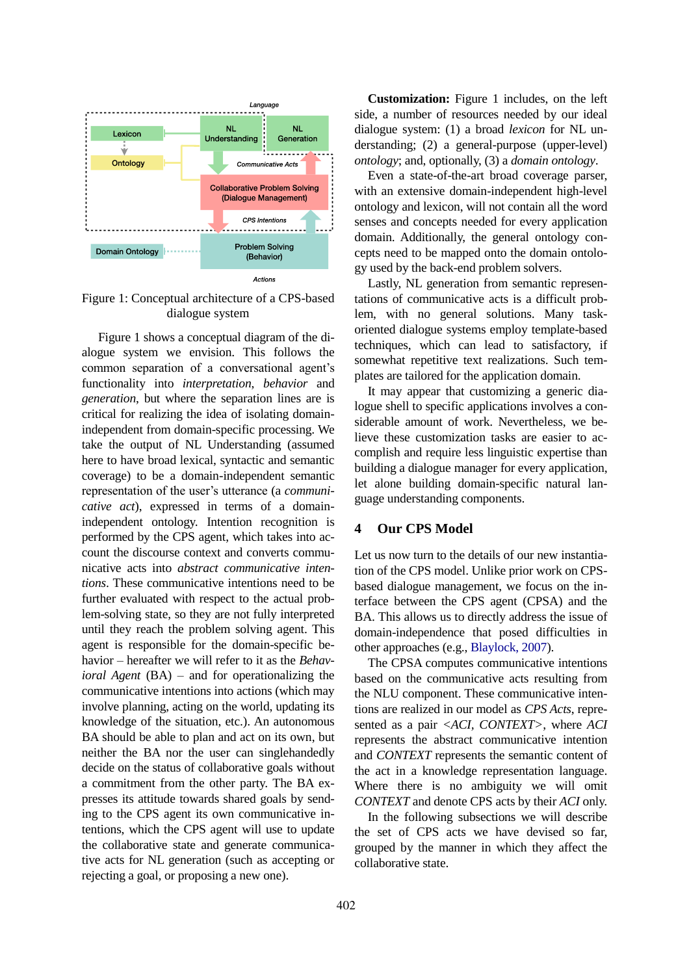

<span id="page-2-1"></span><span id="page-2-0"></span>Figure 1: Conceptual architecture of a CPS-based dialogue system

[Figure 1](#page-2-0) shows a conceptual diagram of the dialogue system we envision. This follows the common separation of a conversational agent's functionality into *interpretation*, *behavior* and *generation*, but where the separation lines are is critical for realizing the idea of isolating domainindependent from domain-specific processing. We take the output of NL Understanding (assumed here to have broad lexical, syntactic and semantic coverage) to be a domain-independent semantic representation of the user's utterance (a *communicative act*), expressed in terms of a domainindependent ontology. Intention recognition is performed by the CPS agent, which takes into account the discourse context and converts communicative acts into *abstract communicative intentions*. These communicative intentions need to be further evaluated with respect to the actual problem-solving state, so they are not fully interpreted until they reach the problem solving agent. This agent is responsible for the domain-specific behavior – hereafter we will refer to it as the *Behavioral Agent* (BA) – and for operationalizing the communicative intentions into actions (which may involve planning, acting on the world, updating its knowledge of the situation, etc.). An autonomous BA should be able to plan and act on its own, but neither the BA nor the user can singlehandedly decide on the status of collaborative goals without a commitment from the other party. The BA expresses its attitude towards shared goals by sending to the CPS agent its own communicative intentions, which the CPS agent will use to update the collaborative state and generate communicative acts for NL generation (such as accepting or rejecting a goal, or proposing a new one).

**Customization:** [Figure 1](#page-2-0) includes, on the left side, a number of resources needed by our ideal dialogue system: (1) a broad *lexicon* for NL understanding; (2) a general-purpose (upper-level) *ontology*; and, optionally, (3) a *domain ontology*.

Even a state-of-the-art broad coverage parser, with an extensive domain-independent high-level ontology and lexicon, will not contain all the word senses and concepts needed for every application domain. Additionally, the general ontology concepts need to be mapped onto the domain ontology used by the back-end problem solvers.

Lastly, NL generation from semantic representations of communicative acts is a difficult problem, with no general solutions. Many taskoriented dialogue systems employ template-based techniques, which can lead to satisfactory, if somewhat repetitive text realizations. Such templates are tailored for the application domain.

It may appear that customizing a generic dialogue shell to specific applications involves a considerable amount of work. Nevertheless, we believe these customization tasks are easier to accomplish and require less linguistic expertise than building a dialogue manager for every application, let alone building domain-specific natural language understanding components.

# **4 Our CPS Model**

Let us now turn to the details of our new instantiation of the CPS model. Unlike prior work on CPSbased dialogue management, we focus on the interface between the CPS agent (CPSA) and the BA. This allows us to directly address the issue of domain-independence that posed difficulties in other approaches (e.g., [Blaylock, 2007\)](#page-8-2).

The CPSA computes communicative intentions based on the communicative acts resulting from the NLU component. These communicative intentions are realized in our model as *CPS Acts*, represented as a pair *<ACI, CONTEXT>*, where *ACI* represents the abstract communicative intention and *CONTEXT* represents the semantic content of the act in a knowledge representation language. Where there is no ambiguity we will omit *CONTEXT* and denote CPS acts by their *ACI* only.

In the following subsections we will describe the set of CPS acts we have devised so far, grouped by the manner in which they affect the collaborative state.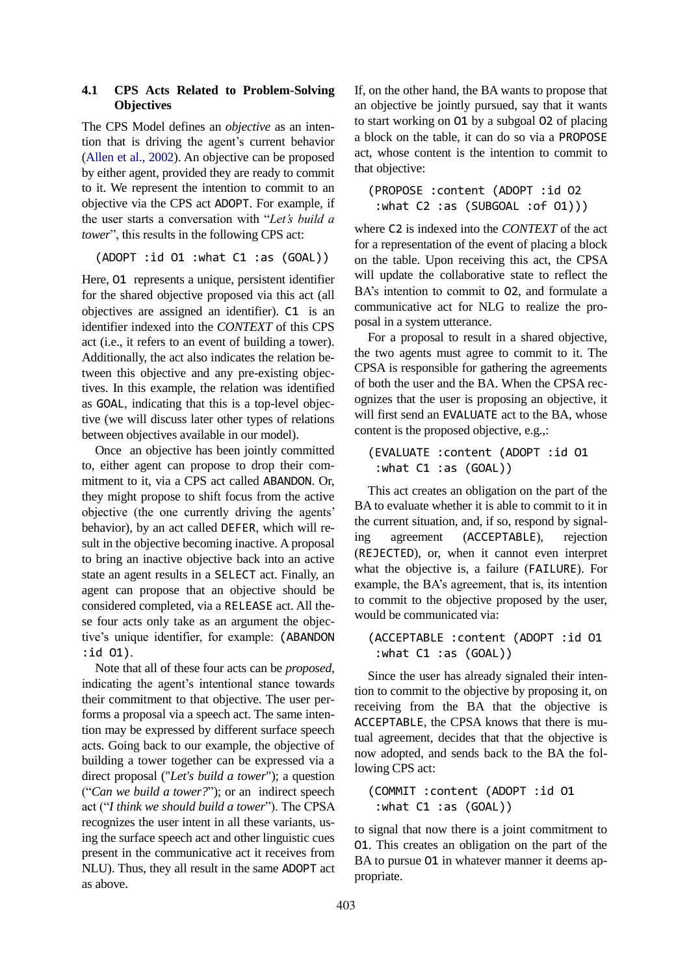## **4.1 CPS Acts Related to Problem-Solving Objectives**

The CPS Model defines an *objective* as an intention that is driving the agent's current behavior [\(Allen et al., 2002\)](#page-8-1). An objective can be proposed by either agent, provided they are ready to commit to it. We represent the intention to commit to an objective via the CPS act ADOPT. For example, if the user starts a conversation with "*Let's build a tower*", this results in the following CPS act:

(ADOPT :id O1 :what C1 :as (GOAL))

Here, O1 represents a unique, persistent identifier for the shared objective proposed via this act (all objectives are assigned an identifier). C1 is an identifier indexed into the *CONTEXT* of this CPS act (i.e., it refers to an event of building a tower). Additionally, the act also indicates the relation between this objective and any pre-existing objectives. In this example, the relation was identified as GOAL, indicating that this is a top-level objective (we will discuss later other types of relations between objectives available in our model).

Once an objective has been jointly committed to, either agent can propose to drop their commitment to it, via a CPS act called ABANDON. Or, they might propose to shift focus from the active objective (the one currently driving the agents' behavior), by an act called DEFER, which will result in the objective becoming inactive. A proposal to bring an inactive objective back into an active state an agent results in a SELECT act. Finally, an agent can propose that an objective should be considered completed, via a RELEASE act. All these four acts only take as an argument the objective's unique identifier, for example: (ABANDON :id O1).

Note that all of these four acts can be *proposed*, indicating the agent's intentional stance towards their commitment to that objective. The user performs a proposal via a speech act. The same intention may be expressed by different surface speech acts. Going back to our example, the objective of building a tower together can be expressed via a direct proposal ("*Let's build a tower*"); a question ("*Can we build a tower?*"); or an indirect speech act ("*I think we should build a tower*"). The CPSA recognizes the user intent in all these variants, using the surface speech act and other linguistic cues present in the communicative act it receives from NLU). Thus, they all result in the same ADOPT act as above.

If, on the other hand, the BA wants to propose that an objective be jointly pursued, say that it wants to start working on O1 by a subgoal O2 of placing a block on the table, it can do so via a PROPOSE act, whose content is the intention to commit to that objective:

(PROPOSE :content (ADOPT :id O2 :what C2 :as (SUBGOAL :of O1)))

where C2 is indexed into the *CONTEXT* of the act for a representation of the event of placing a block on the table. Upon receiving this act, the CPSA will update the collaborative state to reflect the BA's intention to commit to O2, and formulate a communicative act for NLG to realize the proposal in a system utterance.

For a proposal to result in a shared objective, the two agents must agree to commit to it. The CPSA is responsible for gathering the agreements of both the user and the BA. When the CPSA recognizes that the user is proposing an objective, it will first send an EVALUATE act to the BA, whose content is the proposed objective, e.g.,:

```
(EVALUATE :content (ADOPT :id O1
:what C1 :as (GOAL))
```
This act creates an obligation on the part of the BA to evaluate whether it is able to commit to it in the current situation, and, if so, respond by signaling agreement (ACCEPTABLE), rejection (REJECTED), or, when it cannot even interpret what the objective is, a failure (FAILURE). For example, the BA's agreement, that is, its intention to commit to the objective proposed by the user, would be communicated via:

```
(ACCEPTABLE :content (ADOPT :id O1
:what C1 :as (GOAL))
```
Since the user has already signaled their intention to commit to the objective by proposing it, on receiving from the BA that the objective is ACCEPTABLE, the CPSA knows that there is mutual agreement, decides that that the objective is now adopted, and sends back to the BA the following CPS act:

```
(COMMIT :content (ADOPT :id O1
:what C1 :as (GOAL))
```
to signal that now there is a joint commitment to O1. This creates an obligation on the part of the BA to pursue 01 in whatever manner it deems appropriate.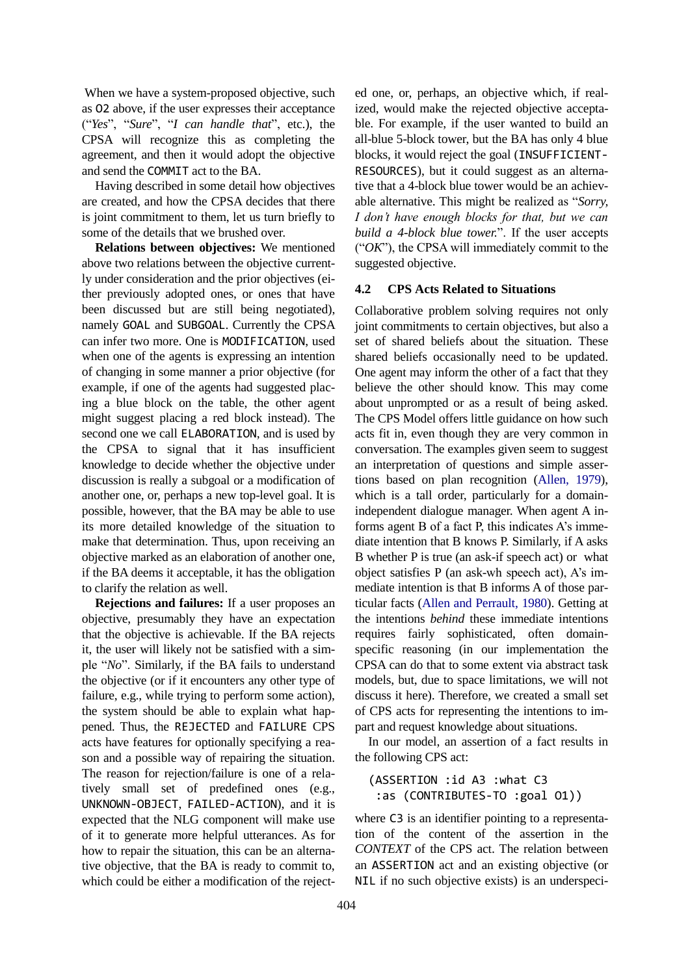When we have a system-proposed objective, such as O2 above, if the user expresses their acceptance ("*Yes*", "*Sure*", "*I can handle that*", etc.), the CPSA will recognize this as completing the agreement, and then it would adopt the objective and send the COMMIT act to the BA.

Having described in some detail how objectives are created, and how the CPSA decides that there is joint commitment to them, let us turn briefly to some of the details that we brushed over.

**Relations between objectives:** We mentioned above two relations between the objective currently under consideration and the prior objectives (either previously adopted ones, or ones that have been discussed but are still being negotiated), namely GOAL and SUBGOAL. Currently the CPSA can infer two more. One is MODIFICATION, used when one of the agents is expressing an intention of changing in some manner a prior objective (for example, if one of the agents had suggested placing a blue block on the table, the other agent might suggest placing a red block instead). The second one we call ELABORATION, and is used by the CPSA to signal that it has insufficient knowledge to decide whether the objective under discussion is really a subgoal or a modification of another one, or, perhaps a new top-level goal. It is possible, however, that the BA may be able to use its more detailed knowledge of the situation to make that determination. Thus, upon receiving an objective marked as an elaboration of another one, if the BA deems it acceptable, it has the obligation to clarify the relation as well.

**Rejections and failures:** If a user proposes an objective, presumably they have an expectation that the objective is achievable. If the BA rejects it, the user will likely not be satisfied with a simple "*No*". Similarly, if the BA fails to understand the objective (or if it encounters any other type of failure, e.g., while trying to perform some action), the system should be able to explain what happened. Thus, the REJECTED and FAILURE CPS acts have features for optionally specifying a reason and a possible way of repairing the situation. The reason for rejection/failure is one of a relatively small set of predefined ones (e.g., UNKNOWN-OBJECT, FAILED-ACTION), and it is expected that the NLG component will make use of it to generate more helpful utterances. As for how to repair the situation, this can be an alternative objective, that the BA is ready to commit to, which could be either a modification of the rejected one, or, perhaps, an objective which, if realized, would make the rejected objective acceptable. For example, if the user wanted to build an all-blue 5-block tower, but the BA has only 4 blue blocks, it would reject the goal (INSUFFICIENT-RESOURCES), but it could suggest as an alternative that a 4-block blue tower would be an achievable alternative. This might be realized as "*Sorry, I don't have enough blocks for that, but we can build a 4-block blue tower.*". If the user accepts ("*OK*"), the CPSA will immediately commit to the suggested objective.

#### **4.2 CPS Acts Related to Situations**

Collaborative problem solving requires not only joint commitments to certain objectives, but also a set of shared beliefs about the situation. These shared beliefs occasionally need to be updated. One agent may inform the other of a fact that they believe the other should know. This may come about unprompted or as a result of being asked. The CPS Model offers little guidance on how such acts fit in, even though they are very common in conversation. The examples given seem to suggest an interpretation of questions and simple assertions based on plan recognition [\(Allen, 1979\)](#page-8-7), which is a tall order, particularly for a domainindependent dialogue manager. When agent A informs agent B of a fact P, this indicates A's immediate intention that B knows P. Similarly, if A asks B whether P is true (an ask-if speech act) or what object satisfies P (an ask-wh speech act), A's immediate intention is that B informs A of those particular facts (Allen [and Perrault, 1980\)](#page-8-8). Getting at the intentions *behind* these immediate intentions requires fairly sophisticated, often domainspecific reasoning (in our implementation the CPSA can do that to some extent via abstract task models, but, due to space limitations, we will not discuss it here). Therefore, we created a small set of CPS acts for representing the intentions to impart and request knowledge about situations.

In our model, an assertion of a fact results in the following CPS act:

(ASSERTION :id A3 :what C3 :as (CONTRIBUTES-TO :goal O1))

where C3 is an identifier pointing to a representation of the content of the assertion in the *CONTEXT* of the CPS act. The relation between an ASSERTION act and an existing objective (or NIL if no such objective exists) is an underspeci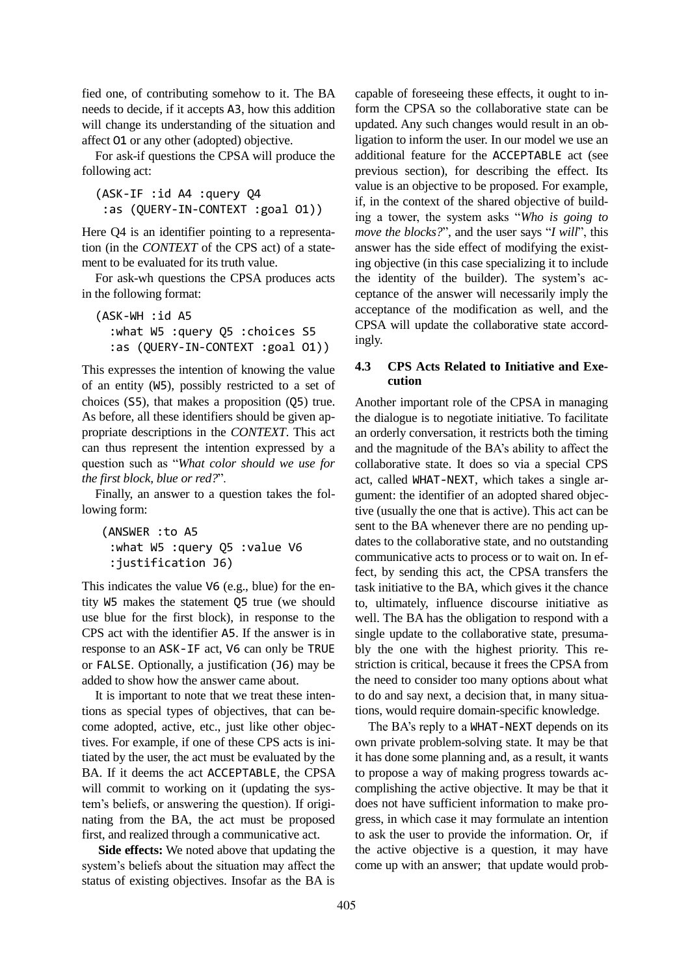fied one, of contributing somehow to it. The BA needs to decide, if it accepts A3, how this addition will change its understanding of the situation and affect O1 or any other (adopted) objective.

For ask-if questions the CPSA will produce the following act:

```
(ASK-IF :id A4 :query Q4
:as (QUERY-IN-CONTEXT :goal O1))
```
Here Q4 is an identifier pointing to a representation (in the *CONTEXT* of the CPS act) of a statement to be evaluated for its truth value.

For ask-wh questions the CPSA produces acts in the following format:

```
(ASK-WH :id A5
  :what W5 :query Q5 :choices S5 
  :as (QUERY-IN-CONTEXT :goal O1))
```
This expresses the intention of knowing the value of an entity (W5), possibly restricted to a set of choices (S5), that makes a proposition (Q5) true. As before, all these identifiers should be given appropriate descriptions in the *CONTEXT*. This act can thus represent the intention expressed by a question such as "*What color should we use for the first block, blue or red?*".

Finally, an answer to a question takes the following form:

```
 (ANSWER :to A5 
 :what W5 :query Q5 :value V6 
 :justification J6)
```
This indicates the value V6 (e.g., blue) for the entity W5 makes the statement Q5 true (we should use blue for the first block), in response to the CPS act with the identifier A5. If the answer is in response to an ASK-IF act, V6 can only be TRUE or FALSE. Optionally, a justification (J6) may be added to show how the answer came about.

It is important to note that we treat these intentions as special types of objectives, that can become adopted, active, etc., just like other objectives. For example, if one of these CPS acts is initiated by the user, the act must be evaluated by the BA. If it deems the act ACCEPTABLE, the CPSA will commit to working on it (updating the system's beliefs, or answering the question). If originating from the BA, the act must be proposed first, and realized through a communicative act.

**Side effects:** We noted above that updating the system's beliefs about the situation may affect the status of existing objectives. Insofar as the BA is

capable of foreseeing these effects, it ought to inform the CPSA so the collaborative state can be updated. Any such changes would result in an obligation to inform the user. In our model we use an additional feature for the ACCEPTABLE act (see previous section), for describing the effect. Its value is an objective to be proposed. For example, if, in the context of the shared objective of building a tower, the system asks "*Who is going to move the blocks?*", and the user says "*I will*", this answer has the side effect of modifying the existing objective (in this case specializing it to include the identity of the builder). The system's acceptance of the answer will necessarily imply the acceptance of the modification as well, and the CPSA will update the collaborative state accordingly.

## **4.3 CPS Acts Related to Initiative and Execution**

Another important role of the CPSA in managing the dialogue is to negotiate initiative. To facilitate an orderly conversation, it restricts both the timing and the magnitude of the BA's ability to affect the collaborative state. It does so via a special CPS act, called WHAT-NEXT, which takes a single argument: the identifier of an adopted shared objective (usually the one that is active). This act can be sent to the BA whenever there are no pending updates to the collaborative state, and no outstanding communicative acts to process or to wait on. In effect, by sending this act, the CPSA transfers the task initiative to the BA, which gives it the chance to, ultimately, influence discourse initiative as well. The BA has the obligation to respond with a single update to the collaborative state, presumably the one with the highest priority. This restriction is critical, because it frees the CPSA from the need to consider too many options about what to do and say next, a decision that, in many situations, would require domain-specific knowledge.

The BA's reply to a WHAT-NEXT depends on its own private problem-solving state. It may be that it has done some planning and, as a result, it wants to propose a way of making progress towards accomplishing the active objective. It may be that it does not have sufficient information to make progress, in which case it may formulate an intention to ask the user to provide the information. Or, if the active objective is a question, it may have come up with an answer; that update would prob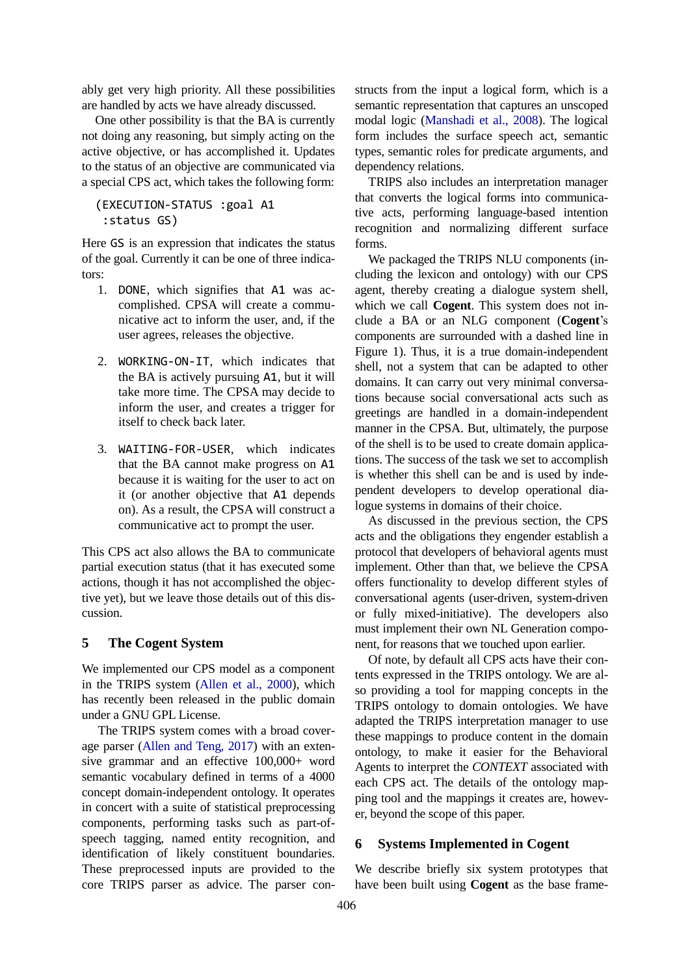ably get very high priority. All these possibilities are handled by acts we have already discussed.

One other possibility is that the BA is currently not doing any reasoning, but simply acting on the active objective, or has accomplished it. Updates to the status of an objective are communicated via a special CPS act, which takes the following form:

(EXECUTION-STATUS :goal A1 :status GS)

Here GS is an expression that indicates the status of the goal. Currently it can be one of three indicators:

- 1. DONE, which signifies that A1 was accomplished. CPSA will create a communicative act to inform the user, and, if the user agrees, releases the objective.
- 2. WORKING-ON-IT, which indicates that the BA is actively pursuing A1, but it will take more time. The CPSA may decide to inform the user, and creates a trigger for itself to check back later.
- 3. WAITING-FOR-USER, which indicates that the BA cannot make progress on A1 because it is waiting for the user to act on it (or another objective that A1 depends on). As a result, the CPSA will construct a communicative act to prompt the user.

This CPS act also allows the BA to communicate partial execution status (that it has executed some actions, though it has not accomplished the objective yet), but we leave those details out of this discussion.

# **5 The Cogent System**

We implemented our CPS model as a component in the TRIPS system [\(Allen et al., 2000\)](#page-8-9), which has recently been released in the public domain under a GNU GPL License.

The TRIPS system comes with a broad coverage parser [\(Allen and Teng, 2017\)](#page-8-10) with an extensive grammar and an effective 100,000+ word semantic vocabulary defined in terms of a 4000 concept domain-independent ontology. It operates in concert with a suite of statistical preprocessing components, performing tasks such as part-ofspeech tagging, named entity recognition, and identification of likely constituent boundaries. These preprocessed inputs are provided to the core TRIPS parser as advice. The parser con-

structs from the input a logical form, which is a semantic representation that captures an unscoped modal logic [\(Manshadi et al., 2008\)](#page-9-9). The logical form includes the surface speech act, semantic types, semantic roles for predicate arguments, and dependency relations.

TRIPS also includes an interpretation manager that converts the logical forms into communicative acts, performing language-based intention recognition and normalizing different surface forms.

We packaged the TRIPS NLU components (including the lexicon and ontology) with our CPS agent, thereby creating a dialogue system shell, which we call **Cogent**. This system does not include a BA or an NLG component (**Cogent**'s components are surrounded with a dashed line in [Figure 1\)](#page-2-1). Thus, it is a true domain-independent shell, not a system that can be adapted to other domains. It can carry out very minimal conversations because social conversational acts such as greetings are handled in a domain-independent manner in the CPSA. But, ultimately, the purpose of the shell is to be used to create domain applications. The success of the task we set to accomplish is whether this shell can be and is used by independent developers to develop operational dialogue systems in domains of their choice.

As discussed in the previous section, the CPS acts and the obligations they engender establish a protocol that developers of behavioral agents must implement. Other than that, we believe the CPSA offers functionality to develop different styles of conversational agents (user-driven, system-driven or fully mixed-initiative). The developers also must implement their own NL Generation component, for reasons that we touched upon earlier.

Of note, by default all CPS acts have their contents expressed in the TRIPS ontology. We are also providing a tool for mapping concepts in the TRIPS ontology to domain ontologies. We have adapted the TRIPS interpretation manager to use these mappings to produce content in the domain ontology, to make it easier for the Behavioral Agents to interpret the *CONTEXT* associated with each CPS act. The details of the ontology mapping tool and the mappings it creates are, however, beyond the scope of this paper.

# **6 Systems Implemented in Cogent**

We describe briefly six system prototypes that have been built using **Cogent** as the base frame-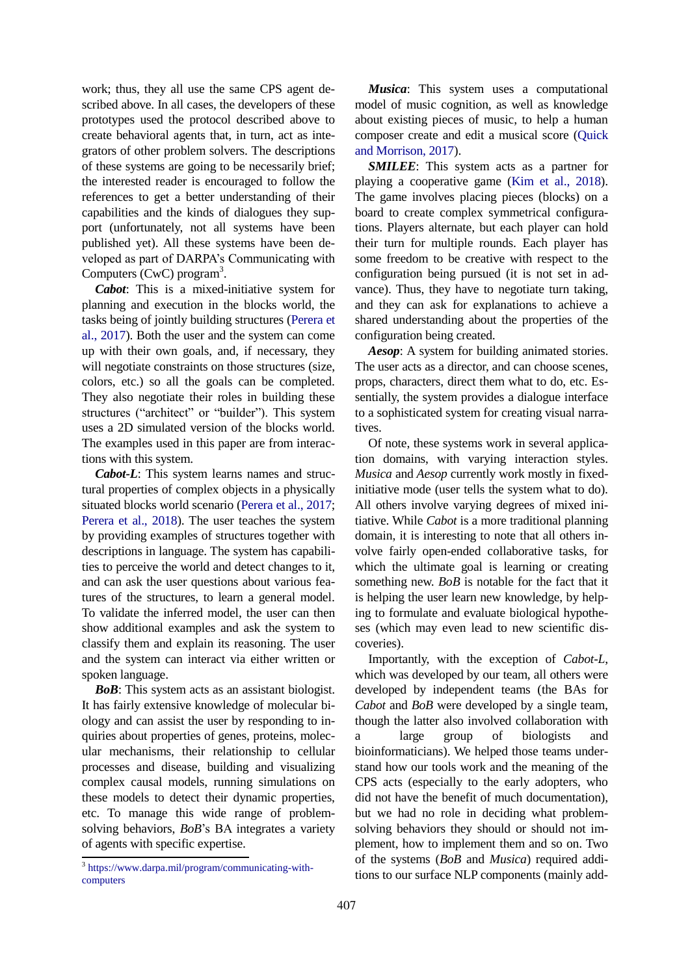work; thus, they all use the same CPS agent described above. In all cases, the developers of these prototypes used the protocol described above to create behavioral agents that, in turn, act as integrators of other problem solvers. The descriptions of these systems are going to be necessarily brief; the interested reader is encouraged to follow the references to get a better understanding of their capabilities and the kinds of dialogues they support (unfortunately, not all systems have been published yet). All these systems have been developed as part of DARPA's Communicating with Computers (CwC) program<sup>3</sup>.

*Cabot*: This is a mixed-initiative system for planning and execution in the blocks world, the tasks being of jointly building structures [\(Perera et](#page-9-10)  [al., 2017\)](#page-9-10). Both the user and the system can come up with their own goals, and, if necessary, they will negotiate constraints on those structures (size, colors, etc.) so all the goals can be completed. They also negotiate their roles in building these structures ("architect" or "builder"). This system uses a 2D simulated version of the blocks world. The examples used in this paper are from interactions with this system.

*Cabot-L*: This system learns names and structural properties of complex objects in a physically situated blocks world scenario [\(Perera et al., 2017;](#page-9-10) [Perera et al., 2018\)](#page-9-11). The user teaches the system by providing examples of structures together with descriptions in language. The system has capabilities to perceive the world and detect changes to it, and can ask the user questions about various features of the structures, to learn a general model. To validate the inferred model, the user can then show additional examples and ask the system to classify them and explain its reasoning. The user and the system can interact via either written or spoken language.

*BoB*: This system acts as an assistant biologist. It has fairly extensive knowledge of molecular biology and can assist the user by responding to inquiries about properties of genes, proteins, molecular mechanisms, their relationship to cellular processes and disease, building and visualizing complex causal models, running simulations on these models to detect their dynamic properties, etc. To manage this wide range of problemsolving behaviors, *BoB*'s BA integrates a variety of agents with specific expertise.

*Musica*: This system uses a computational model of music cognition, as well as knowledge about existing pieces of music, to help a human composer create and edit a musical score [\(Quick](#page-9-12)  [and Morrison, 2017\)](#page-9-12).

*SMILEE*: This system acts as a partner for playing a cooperative game [\(Kim et al., 2018\)](#page-9-13). The game involves placing pieces (blocks) on a board to create complex symmetrical configurations. Players alternate, but each player can hold their turn for multiple rounds. Each player has some freedom to be creative with respect to the configuration being pursued (it is not set in advance). Thus, they have to negotiate turn taking, and they can ask for explanations to achieve a shared understanding about the properties of the configuration being created.

*Aesop*: A system for building animated stories. The user acts as a director, and can choose scenes, props, characters, direct them what to do, etc. Essentially, the system provides a dialogue interface to a sophisticated system for creating visual narratives.

Of note, these systems work in several application domains, with varying interaction styles. *Musica* and *Aesop* currently work mostly in fixedinitiative mode (user tells the system what to do). All others involve varying degrees of mixed initiative. While *Cabot* is a more traditional planning domain, it is interesting to note that all others involve fairly open-ended collaborative tasks, for which the ultimate goal is learning or creating something new. *BoB* is notable for the fact that it is helping the user learn new knowledge, by helping to formulate and evaluate biological hypotheses (which may even lead to new scientific discoveries).

Importantly, with the exception of *Cabot-L*, which was developed by our team, all others were developed by independent teams (the BAs for *Cabot* and *BoB* were developed by a single team, though the latter also involved collaboration with a large group of biologists and bioinformaticians). We helped those teams understand how our tools work and the meaning of the CPS acts (especially to the early adopters, who did not have the benefit of much documentation), but we had no role in deciding what problemsolving behaviors they should or should not implement, how to implement them and so on. Two of the systems (*BoB* and *Musica*) required additions to our surface NLP components (mainly add-

 3 [https://www.darpa.mil/program/communicating-with](https://www.darpa.mil/program/communicating-with-computers)[computers](https://www.darpa.mil/program/communicating-with-computers)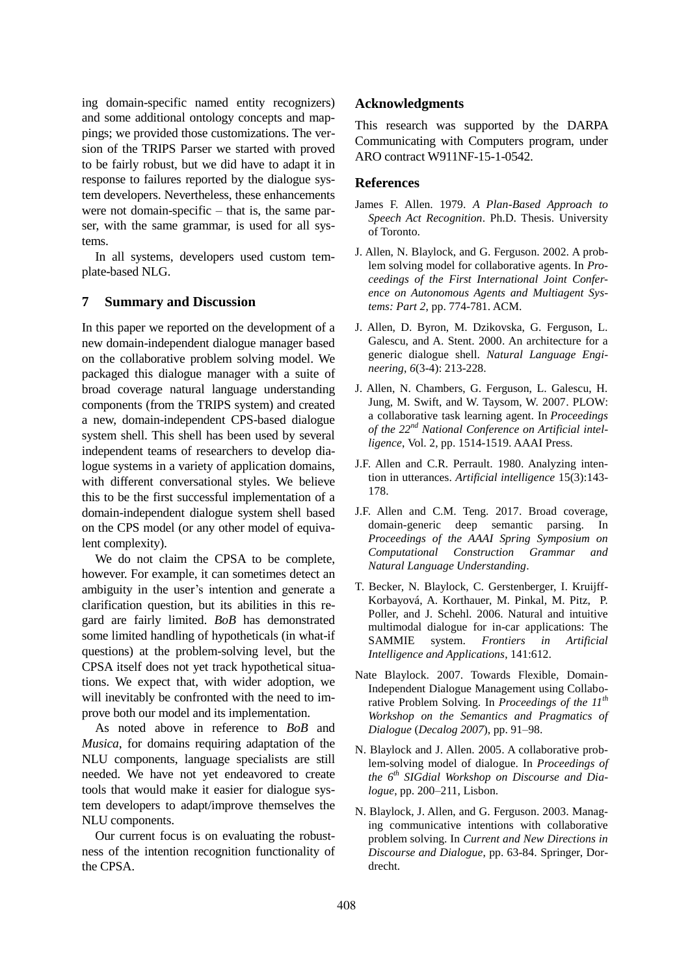ing domain-specific named entity recognizers) and some additional ontology concepts and mappings; we provided those customizations. The version of the TRIPS Parser we started with proved to be fairly robust, but we did have to adapt it in response to failures reported by the dialogue system developers. Nevertheless, these enhancements were not domain-specific – that is, the same parser, with the same grammar, is used for all systems.

In all systems, developers used custom template-based NLG.

## **7 Summary and Discussion**

In this paper we reported on the development of a new domain-independent dialogue manager based on the collaborative problem solving model. We packaged this dialogue manager with a suite of broad coverage natural language understanding components (from the TRIPS system) and created a new, domain-independent CPS-based dialogue system shell. This shell has been used by several independent teams of researchers to develop dialogue systems in a variety of application domains, with different conversational styles. We believe this to be the first successful implementation of a domain-independent dialogue system shell based on the CPS model (or any other model of equivalent complexity).

We do not claim the CPSA to be complete, however. For example, it can sometimes detect an ambiguity in the user's intention and generate a clarification question, but its abilities in this regard are fairly limited. *BoB* has demonstrated some limited handling of hypotheticals (in what-if questions) at the problem-solving level, but the CPSA itself does not yet track hypothetical situations. We expect that, with wider adoption, we will inevitably be confronted with the need to improve both our model and its implementation.

As noted above in reference to *BoB* and *Musica*, for domains requiring adaptation of the NLU components, language specialists are still needed. We have not yet endeavored to create tools that would make it easier for dialogue system developers to adapt/improve themselves the NLU components.

Our current focus is on evaluating the robustness of the intention recognition functionality of the CPSA.

## **Acknowledgments**

This research was supported by the DARPA Communicating with Computers program, under ARO contract W911NF-15-1-0542.

## **References**

- <span id="page-8-7"></span>James F. Allen. 1979. *A Plan-Based Approach to Speech Act Recognition*. Ph.D. Thesis. University of Toronto.
- <span id="page-8-1"></span>J. Allen, N. Blaylock, and G. Ferguson. 2002. A problem solving model for collaborative agents. In *Proceedings of the First International Joint Conference on Autonomous Agents and Multiagent Systems: Part 2*, pp. 774-781. ACM.
- <span id="page-8-9"></span><span id="page-8-5"></span>J. Allen, D. Byron, M. Dzikovska, G. Ferguson, L. Galescu, and A. Stent. 2000. An architecture for a generic dialogue shell. *Natural Language Engineering*, *6*(3-4): 213-228.
- <span id="page-8-4"></span>J. Allen, N. Chambers, G. Ferguson, L. Galescu, H. Jung, M. Swift, and W. Taysom, W. 2007. PLOW: a collaborative task learning agent. In *Proceedings of the 22nd National Conference on Artificial intelligence*, Vol. 2, pp. 1514-1519. AAAI Press.
- <span id="page-8-8"></span><span id="page-8-0"></span>J.F. Allen and C.R. Perrault. 1980. Analyzing intention in utterances. *Artificial intelligence* 15(3):143- 178.
- <span id="page-8-10"></span>J.F. Allen and C.M. Teng. 2017. Broad coverage, domain-generic deep semantic parsing. In *Proceedings of the AAAI Spring Symposium on Computational Construction Grammar and Natural Language Understanding*.
- <span id="page-8-6"></span>T. Becker, N. Blaylock, C. Gerstenberger, I. Kruijff-Korbayová, A. Korthauer, M. Pinkal, M. Pitz, P. Poller, and J. Schehl. 2006. Natural and intuitive multimodal dialogue for in-car applications: The SAMMIE system. *Frontiers in Artificial Intelligence and Applications*, 141:612.
- <span id="page-8-2"></span>Nate Blaylock. 2007. Towards Flexible, Domain-Independent Dialogue Management using Collaborative Problem Solving. In *Proceedings of the 11th Workshop on the Semantics and Pragmatics of Dialogue* (*Decalog 2007*), pp. 91–98.
- <span id="page-8-3"></span>N. Blaylock and J. Allen. 2005. A collaborative problem-solving model of dialogue. In *Proceedings of the 6 th SIGdial Workshop on Discourse and Dialogue*, pp. 200–211, Lisbon.
- N. Blaylock, J. Allen, and G. Ferguson. 2003. Managing communicative intentions with collaborative problem solving. In *Current and New Directions in Discourse and Dialogue*, pp. 63-84. Springer, Dordrecht.